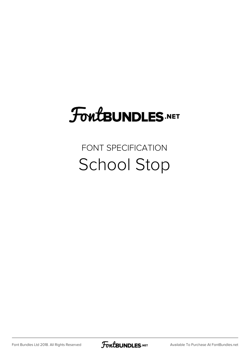# FoutBUNDLES.NET

### FONT SPECIFICATION School Stop

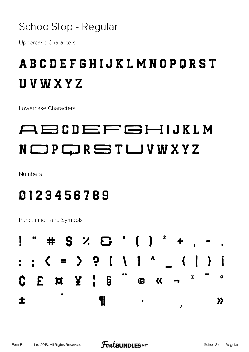

Uppercase Characters

### ABCDEFGHIJKLMNOPQRST UVWXYZ

Lowercase Characters

## ABCDEFGHIJKLM NOPQRSTLJVWXYZ

Numbers

#### 0123456789

Punctuation and Symbols

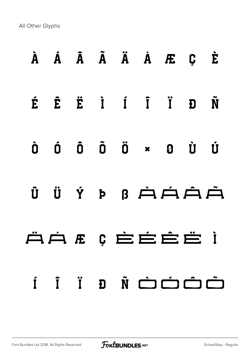All Other Glyphs

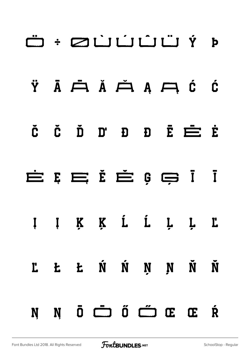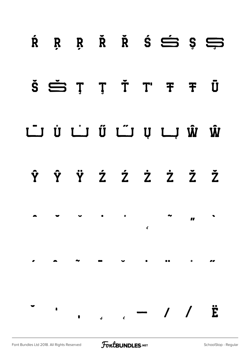|  |  | $R$ $R$ $R$ $R$ $R$ $S$ $S$ $S$                                                                                                                                                                                                                                                                                                                                                     |                                 |  |
|--|--|-------------------------------------------------------------------------------------------------------------------------------------------------------------------------------------------------------------------------------------------------------------------------------------------------------------------------------------------------------------------------------------|---------------------------------|--|
|  |  | $\check{S}$ $\check{S}$ $\check{S}$ $\check{S}$ $\check{T}$ $\check{T}$ $\check{T}$ $\check{T}$ $\check{T}$ $\check{T}$ $\check{T}$ $\check{T}$ $\check{T}$ $\check{T}$ $\check{T}$ $\check{T}$ $\check{T}$ $\check{T}$ $\check{T}$ $\check{T}$ $\check{T}$ $\check{T}$ $\check{T}$ $\check{T}$ $\check{T}$ $\check{T}$ $\check{T}$ $\check{T}$ $\check{T}$ $\check{T}$ $\check{T}$ |                                 |  |
|  |  |                                                                                                                                                                                                                                                                                                                                                                                     |                                 |  |
|  |  | ŶŶŸŹŹŻŻŽ                                                                                                                                                                                                                                                                                                                                                                            |                                 |  |
|  |  |                                                                                                                                                                                                                                                                                                                                                                                     | $\mathcal{L}$ and $\mathcal{L}$ |  |
|  |  |                                                                                                                                                                                                                                                                                                                                                                                     |                                 |  |
|  |  | $\cdot$ $\cdot$ / / $\ddot{E}$                                                                                                                                                                                                                                                                                                                                                      |                                 |  |
|  |  |                                                                                                                                                                                                                                                                                                                                                                                     |                                 |  |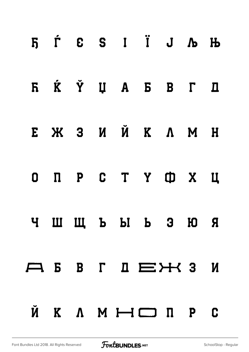|  |  | $5$ $\acute{L}$ $6$ $\acute{S}$ $1$ $\ddot{1}$ $\acute{J}$ $\acute{K}$ $\ddot{1}$ |  |  |
|--|--|-----------------------------------------------------------------------------------|--|--|
|  |  | FI Ќ Ў Џ А Б В Г Д                                                                |  |  |
|  |  | E Ж З И Й К Л М Н                                                                 |  |  |
|  |  | O N P C T Y O X U                                                                 |  |  |
|  |  | ЧШЩЬЫ В ЭЮЯ                                                                       |  |  |
|  |  |                                                                                   |  |  |
|  |  | Ŭ K A M H I D D C                                                                 |  |  |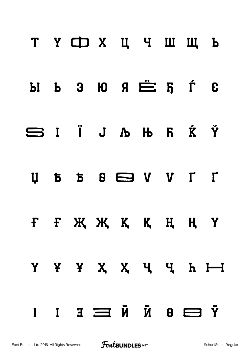|  | T Y CD X U Y W W L                                        |  |  |  |
|--|-----------------------------------------------------------|--|--|--|
|  | $H$ $B$ $B$ $B$ $\stackrel{}{=}$ $F$ $\stackrel{}{=}$ $F$ |  |  |  |
|  | SIÏJAHRKÝ                                                 |  |  |  |
|  |                                                           |  |  |  |
|  | F F X X X K K H H Y                                       |  |  |  |
|  | Y Y Y X X Y Y H H                                         |  |  |  |
|  | $\bar{Y} \in \Box$ $\bar{N} \in \Box$ $\bar{Y} \in I$     |  |  |  |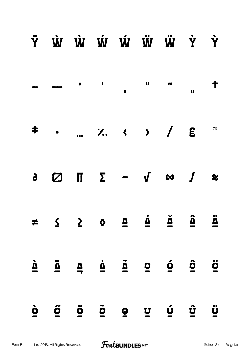|                                       | Ý Ŵ Ŵ Ŵ Ŵ Ŵ Ÿ Ŷ                                                                                                                                                                                                                                                                                                                                                                                                                           |                     |                                 |                              |                          |                      |                    |                     |
|---------------------------------------|-------------------------------------------------------------------------------------------------------------------------------------------------------------------------------------------------------------------------------------------------------------------------------------------------------------------------------------------------------------------------------------------------------------------------------------------|---------------------|---------------------------------|------------------------------|--------------------------|----------------------|--------------------|---------------------|
|                                       |                                                                                                                                                                                                                                                                                                                                                                                                                                           |                     |                                 |                              |                          |                      |                    |                     |
|                                       | ‡ ⁄ ‹ › / € ™                                                                                                                                                                                                                                                                                                                                                                                                                             |                     |                                 |                              |                          |                      |                    |                     |
|                                       | $\begin{array}{ccccccccccccccccccccc} \mathbf{a} & \mathbf{b} & \mathbf{c} & \mathbf{c} & \mathbf{c} & \mathbf{c} & \mathbf{c} & \mathbf{c} & \mathbf{c} & \mathbf{c} & \mathbf{c} & \mathbf{c} & \mathbf{c} & \mathbf{c} & \mathbf{c} & \mathbf{c} & \mathbf{c} & \mathbf{c} & \mathbf{c} & \mathbf{c} & \mathbf{c} & \mathbf{c} & \mathbf{c} & \mathbf{c} & \mathbf{c} & \mathbf{c} & \mathbf{c} & \mathbf{c} & \mathbf{c} & \mathbf{c$ |                     |                                 |                              |                          |                      |                    |                     |
|                                       |                                                                                                                                                                                                                                                                                                                                                                                                                                           |                     |                                 |                              |                          |                      |                    |                     |
| $\mathbf{\underline{\grave{\Delta}}}$ | $\bar{\mathbf{\Delta}}$                                                                                                                                                                                                                                                                                                                                                                                                                   | $\frac{\Delta}{7}$  | $\mathring{\underline{\Delta}}$ | $\tilde{\underline{\Delta}}$ | $\overline{\mathbf{Q}}$  | $\mathbf{\acute{Q}}$ | $\mathbf{\hat{Q}}$ | $\ddot{\mathbf{0}}$ |
| $\dot{\mathbf{Q}}$                    | $\ddot{\mathbf{0}}$                                                                                                                                                                                                                                                                                                                                                                                                                       | $\ddot{\mathbf{O}}$ | $\ddot{\mathbf{O}}$             | $\mathbf{Q}$                 | $\underline{\mathbf{u}}$ | $\mathbf{\acute{u}}$ | $\mathbf{\hat{u}}$ | $\ddot{\mathbf{u}}$ |